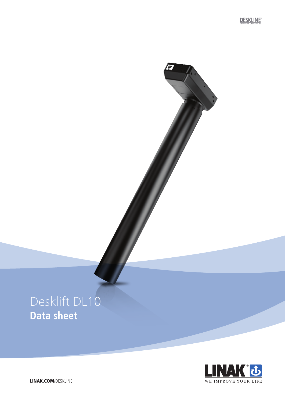**DESKLINE** 

**AND** 

# Desklift DL10 **Data sheet**



LINAK.COM/DESKLINE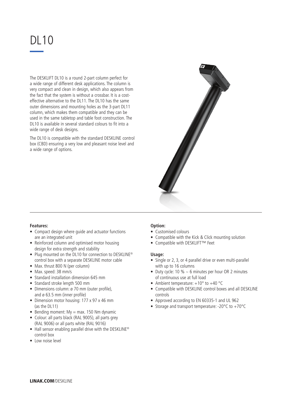# DL10

The DESKLIFT DL10 is a round 2-part column perfect for a wide range of different desk applications. The column is very compact and clean in design, which also appears from the fact that the system is without a crossbar. It is a costeffective alternative to the DL11. The DL10 has the same outer dimensions and mounting holes as the 3-part DL11 column, which makes them compatible and they can be used in the same tabletop and table foot construction. The DL10 is available in several standard colours to fit into a wide range of desk designs.

The DL10 is compatible with the standard DESKLINE control box (CBD) ensuring a very low and pleasant noise level and a wide range of options.



## **Features:**

- Compact design where guide and actuator functions are an integrated unit
- Reinforced column and optimised motor housing design for extra strength and stability
- Plug mounted on the DL10 for connection to DESKLINE® control box with a separate DESKLINE motor cable
- Max. thrust 800 N (per column)
- Max. speed: 38 mm/s
- Standard installation dimension 645 mm
- Standard stroke length 500 mm
- Dimensions column: ø 70 mm (outer profile), and ø 63.5 mm (inner profile)
- Dimension motor housing: 177 x 97 x 46 mm (as the DL11)
- Bending moment:  $My = max. 150 Nm$  dynamic
- Colour: all parts black (RAL 9005), all parts grey (RAL 9006) or all parts white (RAL 9016)
- Hall sensor enabling parallel drive with the DESKLINE® control box
- Low noise level

# **Option:**

- Customised colours
- Compatible with the Kick & Click mounting solution
- Compatible with DESKLIFT™ Feet

## **Usage:**

- Single or 2, 3, or 4 parallel drive or even multi-parallel with up to 16 columns
- Duty cycle: 10 %  $\sim$  6 minutes per hour OR 2 minutes of continuous use at full load
- Ambient temperature:  $+10^{\circ}$  to  $+40^{\circ}$ C
- Compatible with DESKLINE control boxes and all DESKLINE controls
- Approved according to EN 60335-1 and UL 962
- Storage and transport temperature: -20°C to +70°C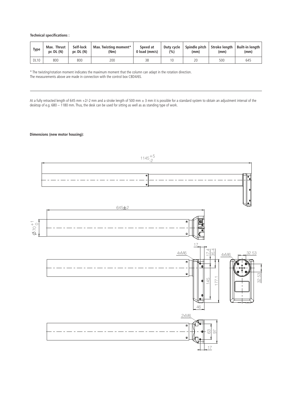**Technical specifications :**

| Type        | <b>Thrust</b><br>Max.<br>pr. $DL(N)$ | Self-lock<br>$pr.$ DL $(N)$ | Max. Twisting moment*<br>(Nm) | Speed at<br>$0$ load ( $mm/s$ ) | Duty cycle<br>(%) | Spindle pitch<br>(mm) | Stroke lenath<br>(mm) | Built-in length<br>(mm) |
|-------------|--------------------------------------|-----------------------------|-------------------------------|---------------------------------|-------------------|-----------------------|-----------------------|-------------------------|
| <b>DL10</b> | 800                                  | 800                         | 200                           | 38                              |                   | 20                    | 500                   | 645                     |

\* The twisting/rotation moment indicates the maximum moment that the column can adapt in the rotation direction. The measurements above are made in connection with the control box CBD4/6S.

At a fully retracted length of 645 mm +2/-2 mm and a stroke length of 500 mm  $\pm$  3 mm it is possible for a standard system to obtain an adjustment interval of the desktop of e.g. 680 – 1180 mm. Thus, the desk can be used for sitting as well as as standing type of work.

**Dimensions (new motor housing):**

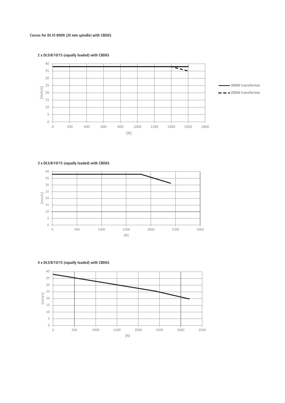**Curves for DL10 800N (20 mm spindle) with CBD6S**





**3 x DL5/8/10/15 (equally loaded) with CBD6S**



 $\,$   $\,$   $\,$  500 1000 1500 2000 2500 3000 3500 E m/s] [N]

**4 x DL5/8/10/15 (equally loaded) with CBD6S**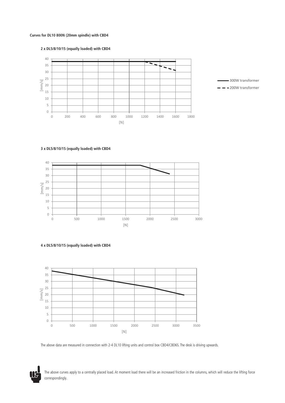### **Curves for DL10 800N (20mm spindle) with CBD4**







### **3 x DL5/8/10/15 (equally loaded) with CBD4**







The above data are measured in connection with 2-4 DL10 lifting units and control box CBD4/CBD6S. The desk is driving upwards.

The above curves apply to a centrally placed load. At moment load there will be an increased friction in the columns, which will reduce the lifting force correspondingly.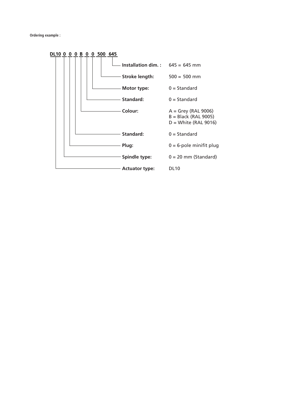**Ordering example :**

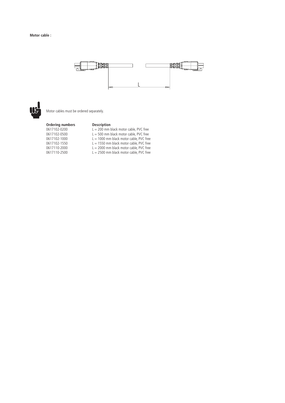### **Motor cable :**





Motor cables must be ordered separately.

#### **Ordering numbers Description**

| 0617102-0200 | $L = 200$ mm black motor cable. PVC free  |
|--------------|-------------------------------------------|
| 0617102-0500 | $L = 500$ mm black motor cable. PVC free  |
| 0617102-1000 | $L = 1000$ mm black motor cable. PVC free |
| 0617102-1550 | $L = 1550$ mm black motor cable. PVC free |
| 0617110-2000 | $L = 2000$ mm black motor cable. PVC free |
| 0617110-2500 | $L = 2500$ mm black motor cable. PVC free |
|              |                                           |